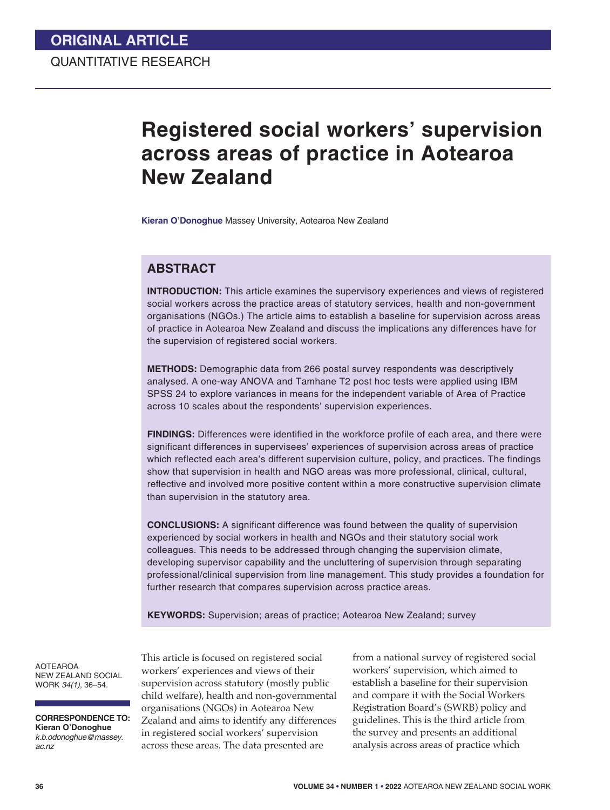# **Registered social workers' supervision across areas of practice in Aotearoa New Zealand**

**Kieran O'Donoghue** Massey University, Aotearoa New Zealand

### **ABSTRACT**

**INTRODUCTION:** This article examines the supervisory experiences and views of registered social workers across the practice areas of statutory services, health and non-government organisations (NGOs.) The article aims to establish a baseline for supervision across areas of practice in Aotearoa New Zealand and discuss the implications any differences have for the supervision of registered social workers.

**METHODS:** Demographic data from 266 postal survey respondents was descriptively analysed. A one-way ANOVA and Tamhane T2 post hoc tests were applied using IBM SPSS 24 to explore variances in means for the independent variable of Area of Practice across 10 scales about the respondents' supervision experiences.

**FINDINGS:** Differences were identified in the workforce profile of each area, and there were significant differences in supervisees' experiences of supervision across areas of practice which reflected each area's different supervision culture, policy, and practices. The findings show that supervision in health and NGO areas was more professional, clinical, cultural, reflective and involved more positive content within a more constructive supervision climate than supervision in the statutory area.

**CONCLUSIONS:** A significant difference was found between the quality of supervision experienced by social workers in health and NGOs and their statutory social work colleagues. This needs to be addressed through changing the supervision climate, developing supervisor capability and the uncluttering of supervision through separating professional/clinical supervision from line management. This study provides a foundation for further research that compares supervision across practice areas.

**KEYWORDS:** Supervision; areas of practice; Aotearoa New Zealand; survey

AOTEAROA NEW ZEALAND SOCIAL WORK *34(1)*, 36–54.

**CORRESPONDENCE TO: Kieran O'Donoghue** *k.b.odonoghue@massey. ac.nz*

This article is focused on registered social workers' experiences and views of their supervision across statutory (mostly public child welfare), health and non-governmental organisations (NGOs) in Aotearoa New Zealand and aims to identify any differences in registered social workers' supervision across these areas. The data presented are

from a national survey of registered social workers' supervision, which aimed to establish a baseline for their supervision and compare it with the Social Workers Registration Board's (SWRB) policy and guidelines. This is the third article from the survey and presents an additional analysis across areas of practice which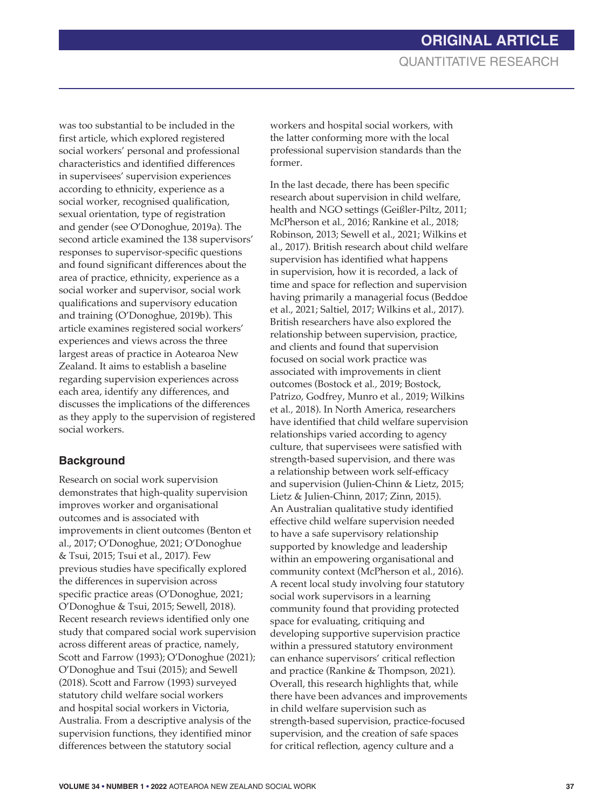was too substantial to be included in the first article, which explored registered social workers' personal and professional characteristics and identified differences in supervisees' supervision experiences according to ethnicity, experience as a social worker, recognised qualification, sexual orientation, type of registration and gender (see O'Donoghue, 2019a). The second article examined the 138 supervisors' responses to supervisor-specific questions and found significant differences about the area of practice, ethnicity, experience as a social worker and supervisor, social work qualifications and supervisory education and training (O'Donoghue, 2019b). This article examines registered social workers' experiences and views across the three largest areas of practice in Aotearoa New Zealand. It aims to establish a baseline regarding supervision experiences across each area, identify any differences, and discusses the implications of the differences as they apply to the supervision of registered social workers.

## **Background**

Research on social work supervision demonstrates that high-quality supervision improves worker and organisational outcomes and is associated with improvements in client outcomes (Benton et al., 2017; O'Donoghue, 2021; O'Donoghue & Tsui, 2015; Tsui et al., 2017). Few previous studies have specifically explored the differences in supervision across specific practice areas (O'Donoghue, 2021; O'Donoghue & Tsui, 2015; Sewell, 2018). Recent research reviews identified only one study that compared social work supervision across different areas of practice, namely, Scott and Farrow (1993); O'Donoghue (2021); O'Donoghue and Tsui (2015); and Sewell (2018). Scott and Farrow (1993) surveyed statutory child welfare social workers and hospital social workers in Victoria, Australia. From a descriptive analysis of the supervision functions, they identified minor differences between the statutory social

workers and hospital social workers, with the latter conforming more with the local professional supervision standards than the former.

In the last decade, there has been specific research about supervision in child welfare, health and NGO settings (Geißler-Piltz, 2011; McPherson et al*.,* 2016; Rankine et al., 2018; Robinson, 2013; Sewell et al., 2021; Wilkins et al., 2017). British research about child welfare supervision has identified what happens in supervision, how it is recorded, a lack of time and space for reflection and supervision having primarily a managerial focus (Beddoe et al., 2021; Saltiel, 2017; Wilkins et al., 2017). British researchers have also explored the relationship between supervision, practice, and clients and found that supervision focused on social work practice was associated with improvements in client outcomes (Bostock et al*.,* 2019; Bostock, Patrizo, Godfrey, Munro et al*.,* 2019; Wilkins et al*.,* 2018). In North America, researchers have identified that child welfare supervision relationships varied according to agency culture, that supervisees were satisfied with strength-based supervision, and there was a relationship between work self-efficacy and supervision (Julien-Chinn & Lietz, 2015; Lietz & Julien-Chinn, 2017; Zinn, 2015). An Australian qualitative study identified effective child welfare supervision needed to have a safe supervisory relationship supported by knowledge and leadership within an empowering organisational and community context (McPherson et al*.*, 2016). A recent local study involving four statutory social work supervisors in a learning community found that providing protected space for evaluating, critiquing and developing supportive supervision practice within a pressured statutory environment can enhance supervisors' critical reflection and practice (Rankine & Thompson, 2021). Overall, this research highlights that, while there have been advances and improvements in child welfare supervision such as strength-based supervision, practice-focused supervision, and the creation of safe spaces for critical reflection, agency culture and a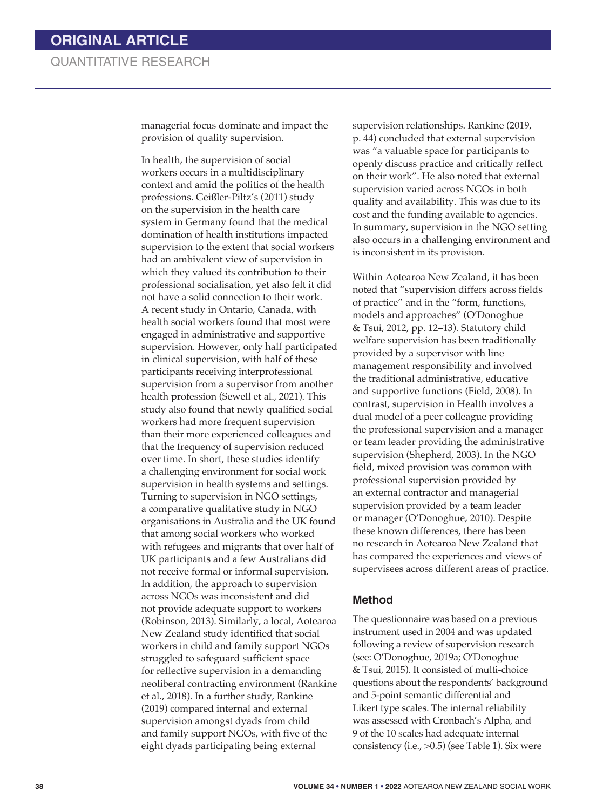managerial focus dominate and impact the provision of quality supervision.

In health, the supervision of social workers occurs in a multidisciplinary context and amid the politics of the health professions. Geißler-Piltz's (2011) study on the supervision in the health care system in Germany found that the medical domination of health institutions impacted supervision to the extent that social workers had an ambivalent view of supervision in which they valued its contribution to their professional socialisation, yet also felt it did not have a solid connection to their work. A recent study in Ontario, Canada, with health social workers found that most were engaged in administrative and supportive supervision. However, only half participated in clinical supervision, with half of these participants receiving interprofessional supervision from a supervisor from another health profession (Sewell et al., 2021). This study also found that newly qualified social workers had more frequent supervision than their more experienced colleagues and that the frequency of supervision reduced over time. In short, these studies identify a challenging environment for social work supervision in health systems and settings. Turning to supervision in NGO settings, a comparative qualitative study in NGO organisations in Australia and the UK found that among social workers who worked with refugees and migrants that over half of UK participants and a few Australians did not receive formal or informal supervision. In addition, the approach to supervision across NGOs was inconsistent and did not provide adequate support to workers (Robinson, 2013). Similarly, a local, Aotearoa New Zealand study identified that social workers in child and family support NGOs struggled to safeguard sufficient space for reflective supervision in a demanding neoliberal contracting environment (Rankine et al., 2018). In a further study, Rankine (2019) compared internal and external supervision amongst dyads from child and family support NGOs, with five of the eight dyads participating being external

supervision relationships. Rankine (2019, p. 44) concluded that external supervision was "a valuable space for participants to openly discuss practice and critically reflect on their work". He also noted that external supervision varied across NGOs in both quality and availability. This was due to its cost and the funding available to agencies. In summary, supervision in the NGO setting also occurs in a challenging environment and is inconsistent in its provision.

Within Aotearoa New Zealand, it has been noted that "supervision differs across fields of practice" and in the "form, functions, models and approaches" (O'Donoghue & Tsui, 2012, pp. 12–13). Statutory child welfare supervision has been traditionally provided by a supervisor with line management responsibility and involved the traditional administrative, educative and supportive functions (Field, 2008). In contrast, supervision in Health involves a dual model of a peer colleague providing the professional supervision and a manager or team leader providing the administrative supervision (Shepherd, 2003). In the NGO field, mixed provision was common with professional supervision provided by an external contractor and managerial supervision provided by a team leader or manager (O'Donoghue, 2010). Despite these known differences, there has been no research in Aotearoa New Zealand that has compared the experiences and views of supervisees across different areas of practice.

#### **Method**

The questionnaire was based on a previous instrument used in 2004 and was updated following a review of supervision research (see: O'Donoghue, 2019a; O'Donoghue & Tsui, 2015). It consisted of multi-choice questions about the respondents' background and 5-point semantic differential and Likert type scales. The internal reliability was assessed with Cronbach's Alpha, and 9 of the 10 scales had adequate internal consistency (i.e., >0.5) (see Table 1). Six were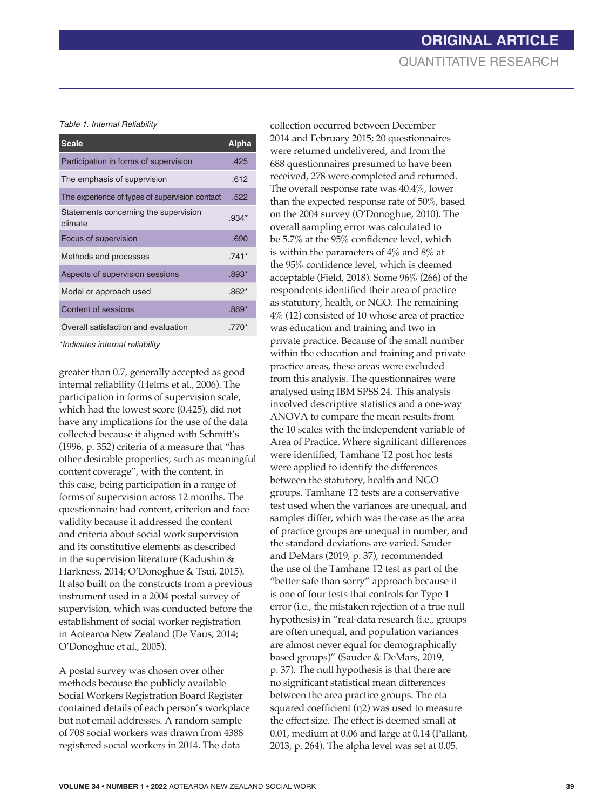*Table 1. Internal Reliability*

| <b>Scale</b>                                     | <b>Alpha</b> |
|--------------------------------------------------|--------------|
| Participation in forms of supervision            | .425         |
| The emphasis of supervision                      | .612         |
| The experience of types of supervision contact   | .522         |
| Statements concerning the supervision<br>climate | $.934*$      |
| Focus of supervision                             | .690         |
| Methods and processes                            | $.741*$      |
| Aspects of supervision sessions                  | $.893*$      |
| Model or approach used                           | $.862*$      |
| Content of sessions                              | $.869*$      |
| Overall satisfaction and evaluation              | $.770*$      |

*\*Indicates internal reliability* 

greater than 0.7, generally accepted as good internal reliability (Helms et al., 2006). The participation in forms of supervision scale, which had the lowest score (0.425), did not have any implications for the use of the data collected because it aligned with Schmitt's (1996, p. 352) criteria of a measure that "has other desirable properties, such as meaningful content coverage", with the content, in this case, being participation in a range of forms of supervision across 12 months. The questionnaire had content, criterion and face validity because it addressed the content and criteria about social work supervision and its constitutive elements as described in the supervision literature (Kadushin & Harkness, 2014; O'Donoghue & Tsui, 2015). It also built on the constructs from a previous instrument used in a 2004 postal survey of supervision, which was conducted before the establishment of social worker registration in Aotearoa New Zealand (De Vaus, 2014; O'Donoghue et al., 2005).

A postal survey was chosen over other methods because the publicly available Social Workers Registration Board Register contained details of each person's workplace but not email addresses. A random sample of 708 social workers was drawn from 4388 registered social workers in 2014. The data

collection occurred between December 2014 and February 2015; 20 questionnaires were returned undelivered, and from the 688 questionnaires presumed to have been received, 278 were completed and returned. The overall response rate was 40.4%, lower than the expected response rate of 50%, based on the 2004 survey (O'Donoghue, 2010). The overall sampling error was calculated to be 5.7% at the 95% confidence level, which is within the parameters of 4% and 8% at the 95% confidence level, which is deemed acceptable (Field, 2018). Some 96% (266) of the respondents identified their area of practice as statutory, health, or NGO. The remaining 4% (12) consisted of 10 whose area of practice was education and training and two in private practice. Because of the small number within the education and training and private practice areas, these areas were excluded from this analysis. The questionnaires were analysed using IBM SPSS 24. This analysis involved descriptive statistics and a one-way ANOVA to compare the mean results from the 10 scales with the independent variable of Area of Practice. Where significant differences were identified, Tamhane T2 post hoc tests were applied to identify the differences between the statutory, health and NGO groups. Tamhane T2 tests are a conservative test used when the variances are unequal, and samples differ, which was the case as the area of practice groups are unequal in number, and the standard deviations are varied. Sauder and DeMars (2019, p. 37), recommended the use of the Tamhane T2 test as part of the "better safe than sorry" approach because it is one of four tests that controls for Type 1 error (i.e., the mistaken rejection of a true null hypothesis) in "real-data research (i.e., groups are often unequal, and population variances are almost never equal for demographically based groups)" (Sauder & DeMars, 2019, p. 37). The null hypothesis is that there are no significant statistical mean differences between the area practice groups. The eta squared coefficient  $(\eta_2)$  was used to measure the effect size. The effect is deemed small at 0.01, medium at 0.06 and large at 0.14 (Pallant, 2013, p. 264). The alpha level was set at 0.05.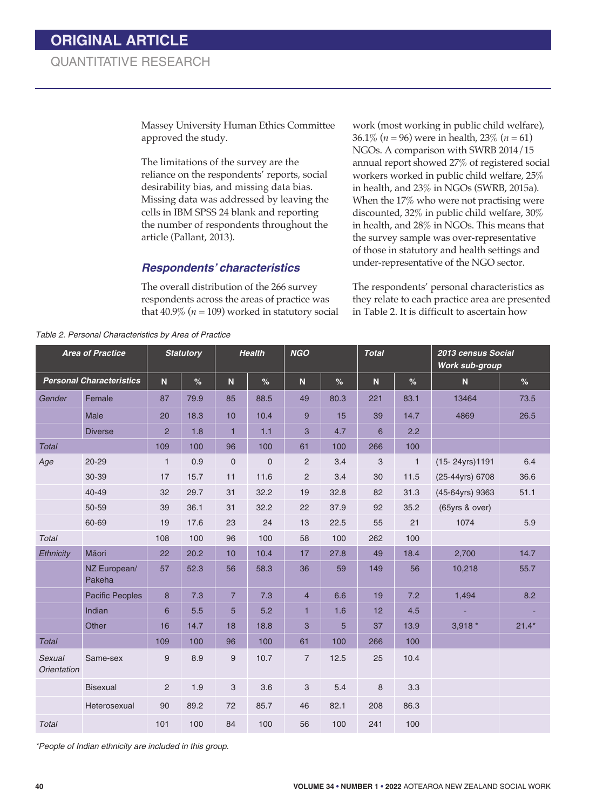Massey University Human Ethics Committee approved the study.

The limitations of the survey are the reliance on the respondents' reports, social desirability bias, and missing data bias. Missing data was addressed by leaving the cells in IBM SPSS 24 blank and reporting the number of respondents throughout the article (Pallant, 2013).

#### *Respondents' characteristics*

The overall distribution of the 266 survey respondents across the areas of practice was that  $40.9\%$  ( $n = 109$ ) worked in statutory social

work (most working in public child welfare), 36.1% (*n* = 96) were in health, 23% (*n* = 61) NGOs. A comparison with SWRB 2014/15 annual report showed 27% of registered social workers worked in public child welfare, 25% in health, and 23% in NGOs (SWRB, 2015a). When the 17% who were not practising were discounted, 32% in public child welfare, 30% in health, and 28% in NGOs. This means that the survey sample was over-representative of those in statutory and health settings and under-representative of the NGO sector.

The respondents' personal characteristics as they relate to each practice area are presented in Table 2. It is difficult to ascertain how

|                              | <b>Area of Practice</b>         |                | <b>Statutory</b> | <b>Health</b>  |             | <b>NGO</b>     |      | <b>Total</b> |               | 2013 census Social<br><b>Work sub-group</b> |         |
|------------------------------|---------------------------------|----------------|------------------|----------------|-------------|----------------|------|--------------|---------------|---------------------------------------------|---------|
|                              | <b>Personal Characteristics</b> | N.             | %                | N              | %           | ${\bf N}$      | %    | N            | $\frac{9}{6}$ | ${\bf N}$                                   | %       |
| Gender                       | Female                          | 87             | 79.9             | 85             | 88.5        | 49             | 80.3 | 221          | 83.1          | 13464                                       | 73.5    |
|                              | Male                            | 20             | 18.3             | 10             | 10.4        | 9              | 15   | 39           | 14.7          | 4869                                        | 26.5    |
|                              | <b>Diverse</b>                  | $\overline{2}$ | 1.8              | $\mathbf{1}$   | 1.1         | 3              | 4.7  | 6            | 2.2           |                                             |         |
| <b>Total</b>                 |                                 | 109            | 100              | 96             | 100         | 61             | 100  | 266          | 100           |                                             |         |
| Age                          | $20 - 29$                       | $\mathbf{1}$   | 0.9              | $\mathbf 0$    | $\mathbf 0$ | $\overline{2}$ | 3.4  | 3            | $\mathbf{1}$  | (15-24yrs) 1191                             | 6.4     |
|                              | 30-39                           | 17             | 15.7             | 11             | 11.6        | $\overline{2}$ | 3.4  | 30           | 11.5          | (25-44yrs) 6708                             | 36.6    |
|                              | 40-49                           | 32             | 29.7             | 31             | 32.2        | 19             | 32.8 | 82           | 31.3          | (45-64yrs) 9363                             | 51.1    |
|                              | 50-59                           | 39             | 36.1             | 31             | 32.2        | 22             | 37.9 | 92           | 35.2          | (65yrs & over)                              |         |
|                              | 60-69                           | 19             | 17.6             | 23             | 24          | 13             | 22.5 | 55           | 21            | 1074                                        | 5.9     |
| <b>Total</b>                 |                                 | 108            | 100              | 96             | 100         | 58             | 100  | 262          | 100           |                                             |         |
| Ethnicity                    | Māori                           | 22             | 20.2             | 10             | 10.4        | 17             | 27.8 | 49           | 18.4          | 2,700                                       | 14.7    |
|                              | NZ European/<br>Pakeha          | 57             | 52.3             | 56             | 58.3        | 36             | 59   | 149          | 56            | 10,218                                      | 55.7    |
|                              | <b>Pacific Peoples</b>          | 8              | 7.3              | $\overline{7}$ | 7.3         | $\overline{4}$ | 6.6  | 19           | 7.2           | 1,494                                       | 8.2     |
|                              | Indian                          | 6              | 5.5              | 5              | 5.2         | $\mathbf{1}$   | 1.6  | 12           | 4.5           |                                             |         |
|                              | Other                           | 16             | 14.7             | 18             | 18.8        | 3              | 5    | 37           | 13.9          | $3,918*$                                    | $21.4*$ |
| <b>Total</b>                 |                                 | 109            | 100              | 96             | 100         | 61             | 100  | 266          | 100           |                                             |         |
| Sexual<br><b>Orientation</b> | Same-sex                        | 9              | 8.9              | 9              | 10.7        | $\overline{7}$ | 12.5 | 25           | 10.4          |                                             |         |
|                              | <b>Bisexual</b>                 | $\overline{2}$ | 1.9              | 3              | 3.6         | 3              | 5.4  | 8            | 3.3           |                                             |         |
|                              | Heterosexual                    | 90             | 89.2             | 72             | 85.7        | 46             | 82.1 | 208          | 86.3          |                                             |         |
| <b>Total</b>                 |                                 | 101            | 100              | 84             | 100         | 56             | 100  | 241          | 100           |                                             |         |

*Table 2. Personal Characteristics by Area of Practice*

*\*People of Indian ethnicity are included in this group.*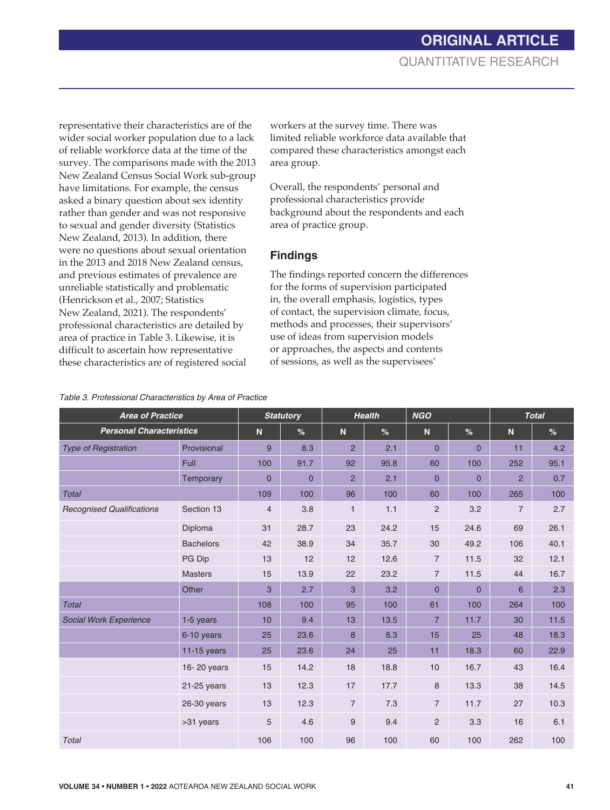representative their characteristics are of the wider social worker population due to a lack of reliable workforce data at the time of the survey. The comparisons made with the 2013 New Zealand Census Social Work sub-group have limitations. For example, the census asked a binary question about sex identity rather than gender and was not responsive to sexual and gender diversity (Statistics New Zealand, 2013). In addition, there were no questions about sexual orientation in the 2013 and 2018 New Zealand census, and previous estimates of prevalence are unreliable statistically and problematic (Henrickson et al., 2007; Statistics New Zealand, 2021). The respondents' professional characteristics are detailed by area of practice in Table 3. Likewise, it is difficult to ascertain how representative these characteristics are of registered social

workers at the survey time. There was limited reliable workforce data available that compared these characteristics amongst each area group.

Overall, the respondents' personal and professional characteristics provide background about the respondents and each area of practice group.

### **Findings**

The findings reported concern the differences for the forms of supervision participated in, the overall emphasis, logistics, types of contact, the supervision climate, focus, methods and processes, their supervisors' use of ideas from supervision models or approaches, the aspects and contents of sessions, as well as the supervisees'

|  |  | Table 3. Professional Characteristics by Area of Practice |  |  |
|--|--|-----------------------------------------------------------|--|--|
|--|--|-----------------------------------------------------------|--|--|

| <b>Area of Practice</b>          |                  |                | <b>Statutory</b> |                | <b>Health</b> | <b>NGO</b>     |                | <b>Total</b>   |      |
|----------------------------------|------------------|----------------|------------------|----------------|---------------|----------------|----------------|----------------|------|
| <b>Personal Characteristics</b>  |                  | $\mathsf{N}$   | %                | $\mathbf N$    | $\%$          | $\mathbf N$    | $\frac{9}{6}$  | $\mathbf N$    | %    |
| <b>Type of Registration</b>      | Provisional      | 9              | 8.3              | $\overline{2}$ | 2.1           | $\overline{0}$ | 0              | 11             | 4.2  |
|                                  | Full             | 100            | 91.7             | 92             | 95.8          | 60             | 100            | 252            | 95.1 |
|                                  | Temporary        | $\overline{0}$ | $\overline{0}$   | $\overline{2}$ | 2.1           | $\overline{0}$ | $\overline{0}$ | $\overline{2}$ | 0.7  |
| <b>Total</b>                     |                  | 109            | 100              | 96             | 100           | 60             | 100            | 265            | 100  |
| <b>Recognised Qualifications</b> | Section 13       | $\overline{4}$ | 3.8              | $\mathbf{1}$   | 1.1           | $\overline{2}$ | 3.2            | $\overline{7}$ | 2.7  |
|                                  | Diploma          | 31             | 28.7             | 23             | 24.2          | 15             | 24.6           | 69             | 26.1 |
|                                  | <b>Bachelors</b> | 42             | 38.9             | 34             | 35.7          | 30             | 49.2           | 106            | 40.1 |
|                                  | PG Dip           | 13             | 12               | 12             | 12.6          | $\overline{7}$ | 11.5           | 32             | 12.1 |
|                                  | <b>Masters</b>   | 15             | 13.9             | 22             | 23.2          | 7              | 11.5           | 44             | 16.7 |
|                                  | Other            | 3              | 2.7              | $\mathbf{3}$   | 3.2           | $\mathbf 0$    | $\mathbf 0$    | 6              | 2.3  |
| <b>Total</b>                     |                  | 108            | 100              | 95             | 100           | 61             | 100            | 264            | 100  |
| Social Work Experience           | 1-5 years        | 10             | 9.4              | 13             | 13.5          | $\overline{7}$ | 11.7           | 30             | 11.5 |
|                                  | 6-10 years       | 25             | 23.6             | 8              | 8.3           | 15             | 25             | 48             | 18.3 |
|                                  | 11-15 years      | 25             | 23.6             | 24             | 25            | 11             | 18.3           | 60             | 22.9 |
|                                  | 16-20 years      | 15             | 14.2             | 18             | 18.8          | 10             | 16.7           | 43             | 16.4 |
|                                  | $21-25$ years    | 13             | 12.3             | 17             | 17.7          | 8              | 13.3           | 38             | 14.5 |
|                                  | $26-30$ years    | 13             | 12.3             | $\overline{7}$ | 7.3           | $\overline{7}$ | 11.7           | 27             | 10.3 |
|                                  | >31 years        | 5              | 4.6              | 9              | 9.4           | $\overline{2}$ | 3.3            | 16             | 6.1  |
| <b>Total</b>                     |                  | 106            | 100              | 96             | 100           | 60             | 100            | 262            | 100  |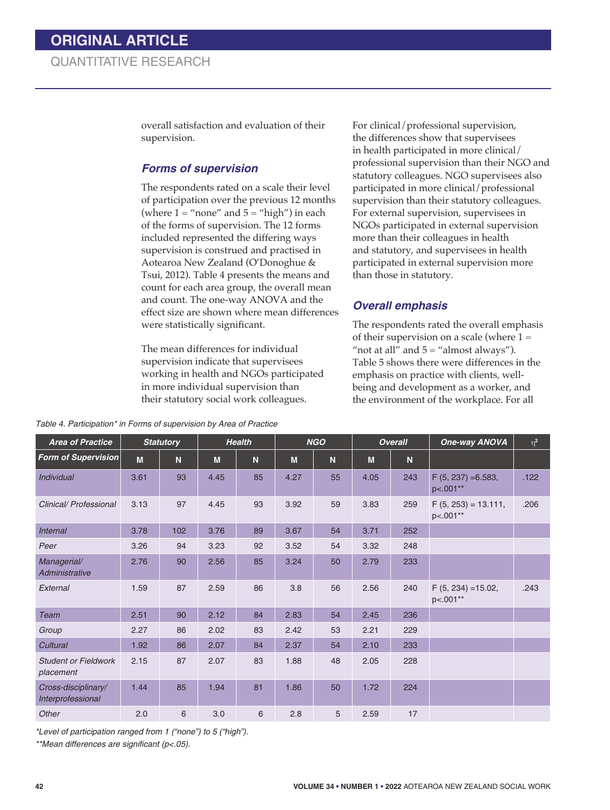overall satisfaction and evaluation of their supervision.

#### *Forms of supervision*

The respondents rated on a scale their level of participation over the previous 12 months (where  $1 =$  "none" and  $5 =$  "high") in each of the forms of supervision. The 12 forms included represented the differing ways supervision is construed and practised in Aotearoa New Zealand (O'Donoghue & Tsui, 2012). Table 4 presents the means and count for each area group, the overall mean and count. The one-way ANOVA and the effect size are shown where mean differences were statistically significant.

The mean differences for individual supervision indicate that supervisees working in health and NGOs participated in more individual supervision than their statutory social work colleagues.

*Table 4. Participation\* in Forms of supervision by Area of Practice* 

For clinical/professional supervision, the differences show that supervisees in health participated in more clinical/ professional supervision than their NGO and statutory colleagues. NGO supervisees also participated in more clinical/professional supervision than their statutory colleagues. For external supervision, supervisees in NGOs participated in external supervision more than their colleagues in health and statutory, and supervisees in health participated in external supervision more than those in statutory.

## *Overall emphasis*

The respondents rated the overall emphasis of their supervision on a scale (where  $1 =$ "not at all" and  $5 =$  "almost always"). Table 5 shows there were differences in the emphasis on practice with clients, wellbeing and development as a worker, and the environment of the workplace. For all

| <b>Area of Practice</b>                  |      | <b>Statutory</b> |      | <b>Health</b> |      | <b>NGO</b> |      | <b>Overall</b> | <b>One-way ANOVA</b>               | $\eta^2$ |
|------------------------------------------|------|------------------|------|---------------|------|------------|------|----------------|------------------------------------|----------|
| <b>Form of Supervision</b>               | M    | N                | M    | N             | M    | N          | M    | N              |                                    |          |
| Individual                               | 3.61 | 93               | 4.45 | 85            | 4.27 | 55         | 4.05 | 243            | $F(5, 237) = 6.583,$<br>p<.001**   | .122     |
| Clinical/Professional                    | 3.13 | 97               | 4.45 | 93            | 3.92 | 59         | 3.83 | 259            | $F(5, 253) = 13.111$ ,<br>p<.001** | .206     |
| <b>Internal</b>                          | 3.78 | 102              | 3.76 | 89            | 3.67 | 54         | 3.71 | 252            |                                    |          |
| Peer                                     | 3.26 | 94               | 3.23 | 92            | 3.52 | 54         | 3.32 | 248            |                                    |          |
| Managerial/<br>Administrative            | 2.76 | 90               | 2.56 | 85            | 3.24 | 50         | 2.79 | 233            |                                    |          |
| External                                 | 1.59 | 87               | 2.59 | 86            | 3.8  | 56         | 2.56 | 240            | $F(5, 234) = 15.02$ ,<br>p<.001**  | .243     |
| <b>Team</b>                              | 2.51 | 90               | 2.12 | 84            | 2.83 | 54         | 2.45 | 236            |                                    |          |
| Group                                    | 2.27 | 86               | 2.02 | 83            | 2.42 | 53         | 2.21 | 229            |                                    |          |
| Cultural                                 | 1.92 | 86               | 2.07 | 84            | 2.37 | 54         | 2.10 | 233            |                                    |          |
| <b>Student or Fieldwork</b><br>placement | 2.15 | 87               | 2.07 | 83            | 1.88 | 48         | 2.05 | 228            |                                    |          |
| Cross-disciplinary/<br>Interprofessional | 1.44 | 85               | 1.94 | 81            | 1.86 | 50         | 1.72 | 224            |                                    |          |
| Other                                    | 2.0  | 6                | 3.0  | 6             | 2.8  | 5          | 2.59 | 17             |                                    |          |

*\*Level of participation ranged from 1 ("none") to 5 ("high").* 

*\*\*Mean differences are significant (p<.05).*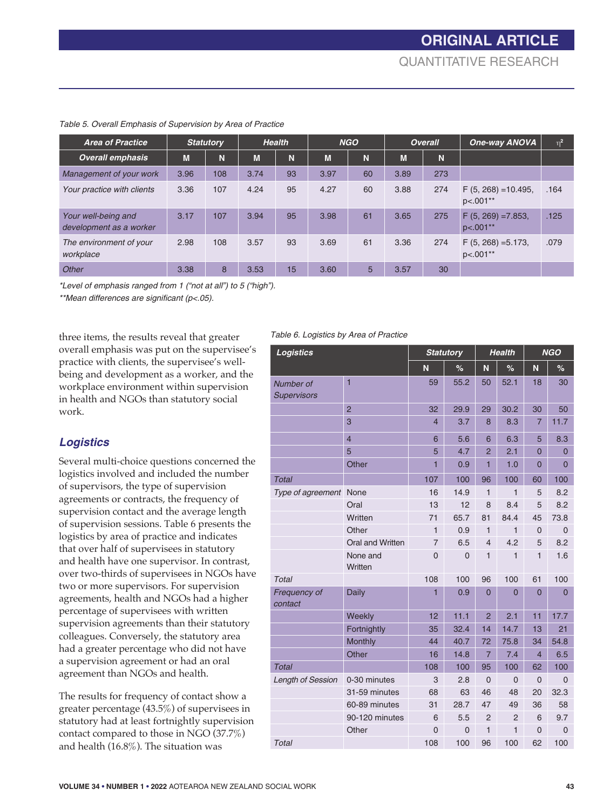| <b>Area of Practice</b>                        |      | <b>Statutory</b> |      | <b>Health</b> |      | <b>NGO</b> |      | <b>Overall</b> | One-way ANOVA                        | $n^2$ |
|------------------------------------------------|------|------------------|------|---------------|------|------------|------|----------------|--------------------------------------|-------|
| <b>Overall emphasis</b>                        | M    | N                | M    | N             | M    | N          | M    | 'N.            |                                      |       |
| Management of your work                        | 3.96 | 108              | 3.74 | 93            | 3.97 | 60         | 3.89 | 273            |                                      |       |
| Your practice with clients                     | 3.36 | 107              | 4.24 | 95            | 4.27 | 60         | 3.88 | 274            | $F(5, 268) = 10.495$ ,<br>$pc.001**$ | .164  |
| Your well-being and<br>development as a worker | 3.17 | 107              | 3.94 | 95            | 3.98 | 61         | 3.65 | 275            | $F(5, 269) = 7.853$<br>$p<.001**$    | .125  |
| The environment of your<br>workplace           | 2.98 | 108              | 3.57 | 93            | 3.69 | 61         | 3.36 | 274            | $F(5, 268) = 5.173$ ,<br>$p<.001**$  | .079  |
| Other                                          | 3.38 | 8                | 3.53 | 15            | 3.60 | 5          | 3.57 | 30             |                                      |       |

#### *Table 5. Overall Emphasis of Supervision by Area of Practice*

*\*Level of emphasis ranged from 1 ("not at all") to 5 ("high").*

*\*\*Mean differences are significant (p<.05).*

three items, the results reveal that greater overall emphasis was put on the supervisee's practice with clients, the supervisee's wellbeing and development as a worker, and the workplace environment within supervision in health and NGOs than statutory social work.

# *Logistics*

Several multi-choice questions concerned the logistics involved and included the number of supervisors, the type of supervision agreements or contracts, the frequency of supervision contact and the average length of supervision sessions. Table 6 presents the logistics by area of practice and indicates that over half of supervisees in statutory and health have one supervisor. In contrast, over two-thirds of supervisees in NGOs have two or more supervisors. For supervision agreements, health and NGOs had a higher percentage of supervisees with written supervision agreements than their statutory colleagues. Conversely, the statutory area had a greater percentage who did not have a supervision agreement or had an oral agreement than NGOs and health.

The results for frequency of contact show a greater percentage (43.5%) of supervisees in statutory had at least fortnightly supervision contact compared to those in NGO (37.7%) and health (16.8%). The situation was

#### *Table 6. Logistics by Area of Practice*

| Logistics                       |                     |                | <b>Statutory</b> |                | <b>Health</b>  | <b>NGO</b>     |                |  |
|---------------------------------|---------------------|----------------|------------------|----------------|----------------|----------------|----------------|--|
|                                 |                     | N              | %                | N              | %              | N              | %              |  |
| Number of<br><b>Supervisors</b> | $\overline{1}$      | 59             | 55.2             | 50             | 52.1           | 18             | 30             |  |
|                                 | $\overline{2}$      | 32             | 29.9             | 29             | 30.2           | 30             | 50             |  |
|                                 | 3                   | $\overline{4}$ | 3.7              | 8              | 8.3            | $\overline{7}$ | 11.7           |  |
|                                 | $\overline{4}$      | 6              | 5.6              | 6              | 6.3            | 5              | 8.3            |  |
|                                 | 5                   | 5              | 4.7              | $\overline{2}$ | 2.1            | $\overline{0}$ | 0              |  |
|                                 | Other               | 1              | 0.9              | 1              | 1.0            | $\mathbf 0$    | 0              |  |
| <b>Total</b>                    |                     | 107            | 100              | 96             | 100            | 60             | 100            |  |
| Type of agreement               | None                | 16             | 14.9             | 1              | $\mathbf{1}$   | 5              | 8.2            |  |
|                                 | Oral                | 13             | 12               | 8              | 8.4            | 5              | 8.2            |  |
|                                 | Written             | 71             | 65.7             | 81             | 84.4           | 45             | 73.8           |  |
|                                 | Other               | 1              | 0.9              | 1              | $\mathbf{1}$   | 0              | $\overline{0}$ |  |
|                                 | Oral and Written    | $\overline{7}$ | 6.5              | $\overline{4}$ | 4.2            | 5              | 8.2            |  |
|                                 | None and<br>Written | $\overline{0}$ | $\overline{0}$   | $\mathbf{1}$   | $\mathbf{1}$   | 1              | 1.6            |  |
| Total                           |                     | 108            | 100              | 96             | 100            | 61             | 100            |  |
| Frequency of<br>contact         | <b>Daily</b>        | 1              | 0.9              | $\overline{0}$ | $\mathbf 0$    | 0              | 0              |  |
|                                 | Weekly              | 12             | 11.1             | $\overline{2}$ | 2.1            | 11             | 17.7           |  |
|                                 | Fortnightly         | 35             | 32.4             | 14             | 14.7           | 13             | 21             |  |
|                                 | Monthly             | 44             | 40.7             | 72             | 75.8           | 34             | 54.8           |  |
|                                 | Other               | 16             | 14.8             | $\overline{7}$ | 7.4            | $\overline{4}$ | 6.5            |  |
| Total                           |                     | 108            | 100              | 95             | 100            | 62             | 100            |  |
| <b>Length of Session</b>        | 0-30 minutes        | 3              | 2.8              | $\overline{0}$ | $\overline{0}$ | 0              | $\overline{0}$ |  |
|                                 | 31-59 minutes       | 68             | 63               | 46             | 48             | 20             | 32.3           |  |
|                                 | 60-89 minutes       | 31             | 28.7             | 47             | 49             | 36             | 58             |  |
|                                 | 90-120 minutes      | 6              | 5.5              | $\overline{2}$ | $\overline{2}$ | 6              | 9.7            |  |
|                                 | Other               | $\overline{0}$ | $\overline{0}$   | 1              | 1              | $\overline{0}$ | 0              |  |
| <b>Total</b>                    |                     | 108            | 100              | 96             | 100            | 62             | 100            |  |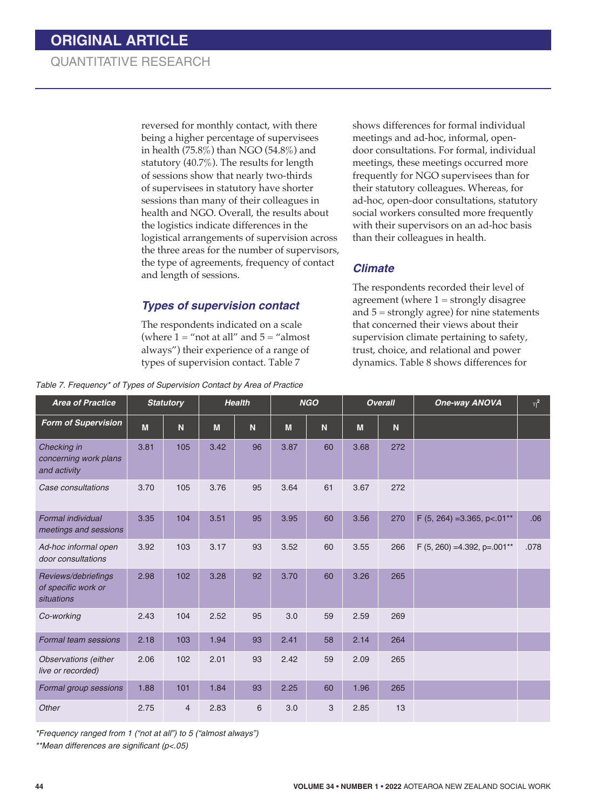reversed for monthly contact, with there being a higher percentage of supervisees in health (75.8%) than NGO (54.8%) and statutory (40.7%). The results for length of sessions show that nearly two-thirds of supervisees in statutory have shorter sessions than many of their colleagues in health and NGO. Overall, the results about the logistics indicate differences in the logistical arrangements of supervision across the three areas for the number of supervisors, the type of agreements, frequency of contact and length of sessions.

shows differences for formal individual meetings and ad-hoc, informal, opendoor consultations. For formal, individual meetings, these meetings occurred more frequently for NGO supervisees than for their statutory colleagues. Whereas, for ad-hoc, open-door consultations, statutory social workers consulted more frequently with their supervisors on an ad-hoc basis than their colleagues in health.

#### *Climate*

# *Types of supervision contact*

The respondents indicated on a scale (where  $1 =$  "not at all" and  $5 =$  "almost") always") their experience of a range of types of supervision contact. Table 7

*Table 7. Frequency\* of Types of Supervision Contact by Area of Practice* 

The respondents recorded their level of agreement (where  $1 =$  strongly disagree and 5 = strongly agree) for nine statements that concerned their views about their supervision climate pertaining to safety, trust, choice, and relational and power dynamics. Table 8 shows differences for

| <b>Area of Practice</b>                                  |      | <b>Statutory</b> |      | <b>Health</b> |      | <b>NGO</b> |      | <b>Overall</b> | <b>One-way ANOVA</b>             | $\eta^{\text{2}}$ |
|----------------------------------------------------------|------|------------------|------|---------------|------|------------|------|----------------|----------------------------------|-------------------|
| <b>Form of Supervision</b>                               | M    | N                | M    | $\mathbf N$   | M    | N          | M    | N              |                                  |                   |
| Checking in<br>concerning work plans<br>and activity     | 3.81 | 105              | 3.42 | 96            | 3.87 | 60         | 3.68 | 272            |                                  |                   |
| Case consultations                                       | 3.70 | 105              | 3.76 | 95            | 3.64 | 61         | 3.67 | 272            |                                  |                   |
| <b>Formal individual</b><br>meetings and sessions        | 3.35 | 104              | 3.51 | 95            | 3.95 | 60         | 3.56 | 270            | $F$ (5, 264) = 3.365, p < 0.01** | .06               |
| Ad-hoc informal open<br>door consultations               | 3.92 | 103              | 3.17 | 93            | 3.52 | 60         | 3.55 | 266            | $F(5, 260) = 4.392$ , p=.001**   | .078              |
| Reviews/debriefings<br>of specific work or<br>situations | 2.98 | 102              | 3.28 | 92            | 3.70 | 60         | 3.26 | 265            |                                  |                   |
| Co-working                                               | 2.43 | 104              | 2.52 | 95            | 3.0  | 59         | 2.59 | 269            |                                  |                   |
| Formal team sessions                                     | 2.18 | 103              | 1.94 | 93            | 2.41 | 58         | 2.14 | 264            |                                  |                   |
| <b>Observations</b> (either<br>live or recorded)         | 2.06 | 102              | 2.01 | 93            | 2.42 | 59         | 2.09 | 265            |                                  |                   |
| Formal group sessions                                    | 1.88 | 101              | 1.84 | 93            | 2.25 | 60         | 1.96 | 265            |                                  |                   |
| Other                                                    | 2.75 | $\overline{4}$   | 2.83 | 6             | 3.0  | 3          | 2.85 | 13             |                                  |                   |

*\*Frequency ranged from 1 ("not at all") to 5 ("almost always")* 

*\*\*Mean differences are significant (p<.05)*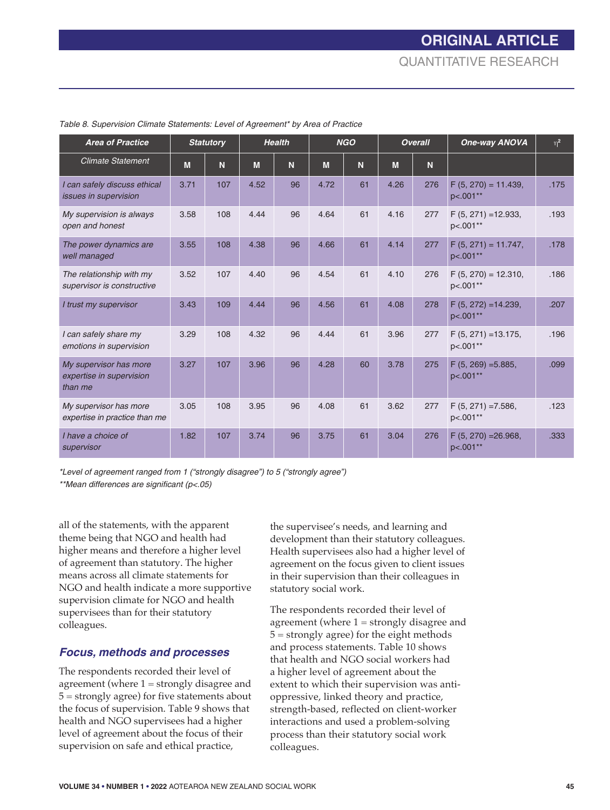| <b>Area of Practice</b>                                       |      | <b>Statutory</b> |      | <b>Health</b> |      | <b>NGO</b> |      | <b>Overall</b> | One-way ANOVA                        | $\eta^2$ |
|---------------------------------------------------------------|------|------------------|------|---------------|------|------------|------|----------------|--------------------------------------|----------|
| <b>Climate Statement</b>                                      | M    | N                | M    | N             | M    | N          | M    | N              |                                      |          |
| I can safely discuss ethical<br>issues in supervision         | 3.71 | 107              | 4.52 | 96            | 4.72 | 61         | 4.26 | 276            | $F(5, 270) = 11.439$ ,<br>$p<.001**$ | .175     |
| My supervision is always<br>open and honest                   | 3.58 | 108              | 4.44 | 96            | 4.64 | 61         | 4.16 | 277            | $F(5, 271) = 12.933$ ,<br>p<.001**   | .193     |
| The power dynamics are<br>well managed                        | 3.55 | 108              | 4.38 | 96            | 4.66 | 61         | 4.14 | 277            | $F(5, 271) = 11.747$ ,<br>p<.001**   | .178     |
| The relationship with my<br>supervisor is constructive        | 3.52 | 107              | 4.40 | 96            | 4.54 | 61         | 4.10 | 276            | $F(5, 270) = 12.310$ ,<br>p<.001**   | .186     |
| I trust my supervisor                                         | 3.43 | 109              | 4.44 | 96            | 4.56 | 61         | 4.08 | 278            | $F(5, 272) = 14.239$ ,<br>p<.001**   | .207     |
| I can safely share my<br>emotions in supervision              | 3.29 | 108              | 4.32 | 96            | 4.44 | 61         | 3.96 | 277            | $F(5, 271) = 13.175$ ,<br>p<.001**   | .196     |
| My supervisor has more<br>expertise in supervision<br>than me | 3.27 | 107              | 3.96 | 96            | 4.28 | 60         | 3.78 | 275            | $F(5, 269) = 5.885$ ,<br>p<.001**    | .099     |
| My supervisor has more<br>expertise in practice than me       | 3.05 | 108              | 3.95 | 96            | 4.08 | 61         | 3.62 | 277            | $F(5, 271) = 7.586$ ,<br>p<.001**    | .123     |
| I have a choice of<br>supervisor                              | 1.82 | 107              | 3.74 | 96            | 3.75 | 61         | 3.04 | 276            | $F(5, 270) = 26.968$ ,<br>p<.001**   | .333     |

*Table 8. Supervision Climate Statements: Level of Agreement\* by Area of Practice* 

*\*Level of agreement ranged from 1 ("strongly disagree") to 5 ("strongly agree")*

*\*\*Mean differences are significant (p<.05)*

all of the statements, with the apparent theme being that NGO and health had higher means and therefore a higher level of agreement than statutory. The higher means across all climate statements for NGO and health indicate a more supportive supervision climate for NGO and health supervisees than for their statutory colleagues.

#### *Focus, methods and processes*

The respondents recorded their level of agreement (where 1 = strongly disagree and 5 = strongly agree) for five statements about the focus of supervision. Table 9 shows that health and NGO supervisees had a higher level of agreement about the focus of their supervision on safe and ethical practice,

the supervisee's needs, and learning and development than their statutory colleagues. Health supervisees also had a higher level of agreement on the focus given to client issues in their supervision than their colleagues in statutory social work.

The respondents recorded their level of agreement (where 1 = strongly disagree and 5 = strongly agree) for the eight methods and process statements. Table 10 shows that health and NGO social workers had a higher level of agreement about the extent to which their supervision was antioppressive, linked theory and practice, strength-based, reflected on client-worker interactions and used a problem-solving process than their statutory social work colleagues.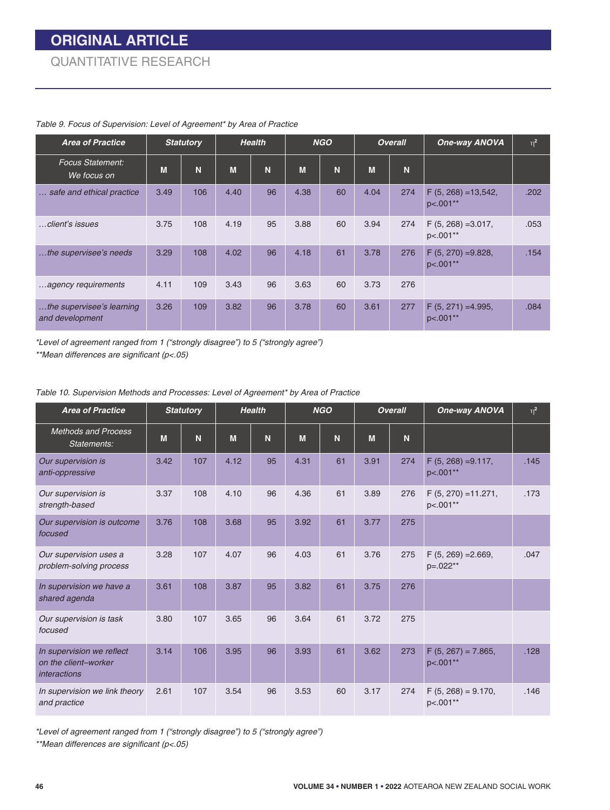| <b>Area of Practice</b>                      |      | <b>Statutory</b> |      | <b>Health</b> |      | <b>NGO</b> |      | <b>Overall</b> | <b>One-way ANOVA</b>                | $\eta^2$ |
|----------------------------------------------|------|------------------|------|---------------|------|------------|------|----------------|-------------------------------------|----------|
| <b>Focus Statement:</b><br>We focus on       | M    | N                | M    | N             | M    | N          | M    | N              |                                     |          |
| safe and ethical practice                    | 3.49 | 106              | 4.40 | 96            | 4.38 | 60         | 4.04 | 274            | $F(5, 268) = 13,542,$<br>$p<.001**$ | .202     |
| …client's issues                             | 3.75 | 108              | 4.19 | 95            | 3.88 | 60         | 3.94 | 274            | $F(5, 268) = 3.017$ ,<br>$p<.001**$ | .053     |
| the supervisee's needs                       | 3.29 | 108              | 4.02 | 96            | 4.18 | 61         | 3.78 | 276            | $F(5, 270) = 9.828$<br>p<.001**     | .154     |
| agency requirements                          | 4.11 | 109              | 3.43 | 96            | 3.63 | 60         | 3.73 | 276            |                                     |          |
| the supervisee's learning<br>and development | 3.26 | 109              | 3.82 | 96            | 3.78 | 60         | 3.61 | 277            | $F(5, 271) = 4.995$ ,<br>p<.001**   | .084     |

#### *Table 9. Focus of Supervision: Level of Agreement\* by Area of Practice*

*\*Level of agreement ranged from 1 ("strongly disagree") to 5 ("strongly agree") \*\*Mean differences are significant (p<.05)*

| <b>Area of Practice</b>                                                  |      | <b>Statutory</b> |      | <b>Health</b> |      | <b>NGO</b> |      | <b>Overall</b> | <b>One-way ANOVA</b>              | $\eta^2$ |
|--------------------------------------------------------------------------|------|------------------|------|---------------|------|------------|------|----------------|-----------------------------------|----------|
| <b>Methods and Process</b><br>Statements:                                | M    | N                | M    | N             | M    | N          | M    | N              |                                   |          |
| Our supervision is<br>anti-oppressive                                    | 3.42 | 107              | 4.12 | 95            | 4.31 | 61         | 3.91 | 274            | $F(5, 268) = 9.117$ ,<br>p<.001** | .145     |
| Our supervision is<br>strength-based                                     | 3.37 | 108              | 4.10 | 96            | 4.36 | 61         | 3.89 | 276            | $F(5, 270) = 11.271,$<br>p<.001** | .173     |
| Our supervision is outcome<br>focused                                    | 3.76 | 108              | 3.68 | 95            | 3.92 | 61         | 3.77 | 275            |                                   |          |
| Our supervision uses a<br>problem-solving process                        | 3.28 | 107              | 4.07 | 96            | 4.03 | 61         | 3.76 | 275            | $F(5, 269) = 2.669$ ,<br>p=.022** | .047     |
| In supervision we have a<br>shared agenda                                | 3.61 | 108              | 3.87 | 95            | 3.82 | 61         | 3.75 | 276            |                                   |          |
| Our supervision is task<br>focused                                       | 3.80 | 107              | 3.65 | 96            | 3.64 | 61         | 3.72 | 275            |                                   |          |
| In supervision we reflect<br>on the client-worker<br><i>interactions</i> | 3.14 | 106              | 3.95 | 96            | 3.93 | 61         | 3.62 | 273            | $F(5, 267) = 7.865,$<br>p<.001**  | .128     |
| In supervision we link theory<br>and practice                            | 2.61 | 107              | 3.54 | 96            | 3.53 | 60         | 3.17 | 274            | $F(5, 268) = 9.170,$<br>p<.001**  | .146     |

*\*Level of agreement ranged from 1 ("strongly disagree") to 5 ("strongly agree")*

*\*\*Mean differences are significant (p<.05)*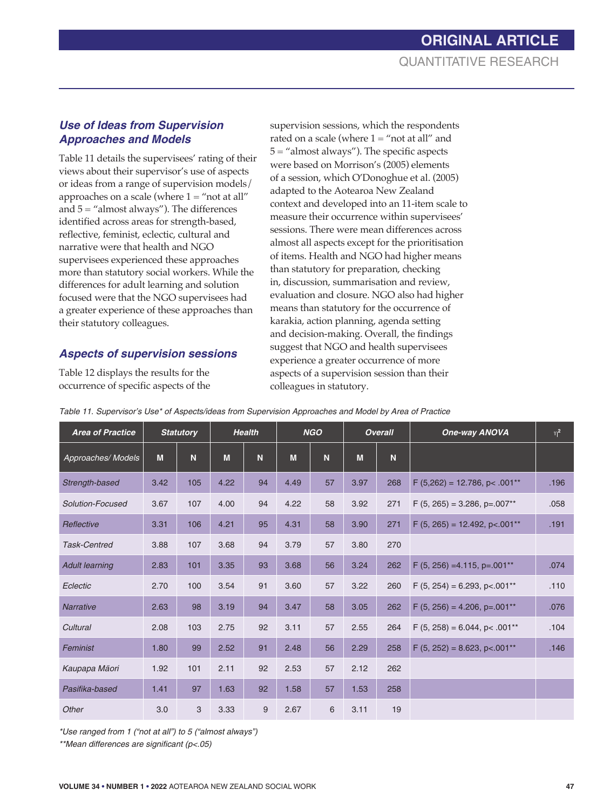## *Use of Ideas from Supervision Approaches and Models*

Table 11 details the supervisees' rating of their views about their supervisor's use of aspects or ideas from a range of supervision models/ approaches on a scale (where  $1 =$  "not at all" and 5 = "almost always"). The differences identified across areas for strength-based, reflective, feminist, eclectic, cultural and narrative were that health and NGO supervisees experienced these approaches more than statutory social workers. While the differences for adult learning and solution focused were that the NGO supervisees had a greater experience of these approaches than their statutory colleagues.

#### *Aspects of supervision sessions*

Table 12 displays the results for the occurrence of specific aspects of the supervision sessions, which the respondents rated on a scale (where  $1 =$  "not at all" and  $5 =$  "almost always"). The specific aspects were based on Morrison's (2005) elements of a session, which O'Donoghue et al. (2005) adapted to the Aotearoa New Zealand context and developed into an 11-item scale to measure their occurrence within supervisees' sessions. There were mean differences across almost all aspects except for the prioritisation of items. Health and NGO had higher means than statutory for preparation, checking in, discussion, summarisation and review, evaluation and closure. NGO also had higher means than statutory for the occurrence of karakia, action planning, agenda setting and decision-making. Overall, the findings suggest that NGO and health supervisees experience a greater occurrence of more aspects of a supervision session than their colleagues in statutory.

| <b>Area of Practice</b> | <b>Statutory</b> |     | <b>Health</b> |    | <b>NGO</b> |    | <b>Overall</b> |     | One-way ANOVA                   | $\eta^2$ |
|-------------------------|------------------|-----|---------------|----|------------|----|----------------|-----|---------------------------------|----------|
| Approaches/Models       | M                | N   | M             | N  | M          | N  | M              | N   |                                 |          |
| Strength-based          | 3.42             | 105 | 4.22          | 94 | 4.49       | 57 | 3.97           | 268 | $F(5,262) = 12.786$ , p< .001** | .196     |
| Solution-Focused        | 3.67             | 107 | 4.00          | 94 | 4.22       | 58 | 3.92           | 271 | $F(5, 265) = 3.286$ , p=.007**  | .058     |
| Reflective              | 3.31             | 106 | 4.21          | 95 | 4.31       | 58 | 3.90           | 271 | $F(5, 265) = 12.492$ , p<.001** | .191     |
| <b>Task-Centred</b>     | 3.88             | 107 | 3.68          | 94 | 3.79       | 57 | 3.80           | 270 |                                 |          |
| <b>Adult learning</b>   | 2.83             | 101 | 3.35          | 93 | 3.68       | 56 | 3.24           | 262 | $F$ (5, 256) = 4.115, p=.001**  | .074     |
| Eclectic                | 2.70             | 100 | 3.54          | 91 | 3.60       | 57 | 3.22           | 260 | $F(5, 254) = 6.293$ , p<.001**  | .110     |
| <b>Narrative</b>        | 2.63             | 98  | 3.19          | 94 | 3.47       | 58 | 3.05           | 262 | $F(5, 256) = 4.206$ , p=.001**  | .076     |
| Cultural                | 2.08             | 103 | 2.75          | 92 | 3.11       | 57 | 2.55           | 264 | $F(5, 258) = 6.044$ , p< .001** | .104     |
| Feminist                | 1.80             | 99  | 2.52          | 91 | 2.48       | 56 | 2.29           | 258 | $F(5, 252) = 8.623$ , p<.001**  | .146     |
| Kaupapa Māori           | 1.92             | 101 | 2.11          | 92 | 2.53       | 57 | 2.12           | 262 |                                 |          |
| Pasifika-based          | 1.41             | 97  | 1.63          | 92 | 1.58       | 57 | 1.53           | 258 |                                 |          |
| Other                   | 3.0              | 3   | 3.33          | 9  | 2.67       | 6  | 3.11           | 19  |                                 |          |

*Table 11. Supervisor's Use\* of Aspects/ideas from Supervision Approaches and Model by Area of Practice*

*\*Use ranged from 1 ("not at all") to 5 ("almost always")*

*\*\*Mean differences are significant (p<.05)*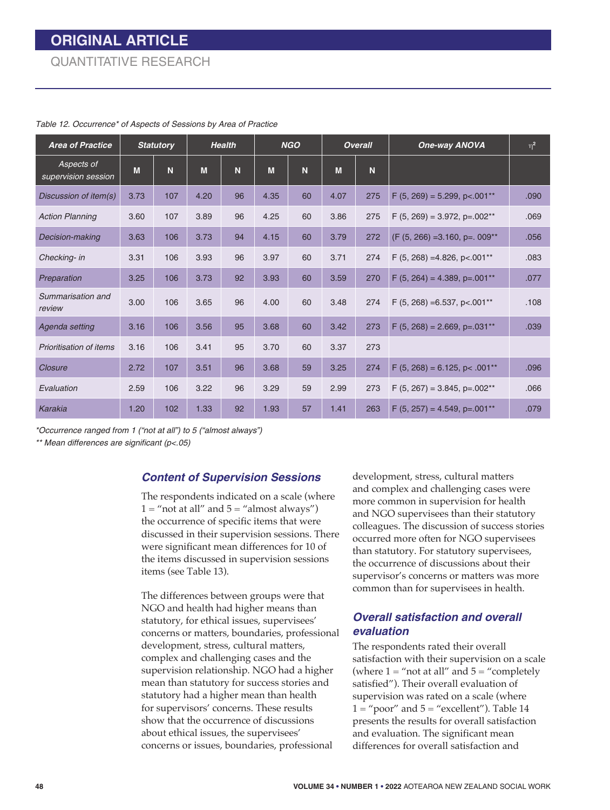| <b>Area of Practice</b>           |      | <b>Statutory</b> |      | <b>Health</b> |      | <b>NGO</b> |      | <b>Overall</b> | <b>One-way ANOVA</b>                       | $\eta^2$ |
|-----------------------------------|------|------------------|------|---------------|------|------------|------|----------------|--------------------------------------------|----------|
| Aspects of<br>supervision session | M    | N                | M    | N             | M    | N          | M    | N              |                                            |          |
| Discussion of item(s)             | 3.73 | 107              | 4.20 | 96            | 4.35 | 60         | 4.07 | 275            | $F(5, 269) = 5.299$ , p<.001**             | .090     |
| <b>Action Planning</b>            | 3.60 | 107              | 3.89 | 96            | 4.25 | 60         | 3.86 | 275            | $F$ (5, 269) = 3.972, p=.002 <sup>**</sup> | .069     |
| Decision-making                   | 3.63 | 106              | 3.73 | 94            | 4.15 | 60         | 3.79 | 272            | $(F (5, 266) = 3.160, p = 0.09**$          | .056     |
| Checking- in                      | 3.31 | 106              | 3.93 | 96            | 3.97 | 60         | 3.71 | 274            | $F$ (5, 268) = 4.826, p < 0.01**           | .083     |
| Preparation                       | 3.25 | 106              | 3.73 | 92            | 3.93 | 60         | 3.59 | 270            | $F$ (5, 264) = 4.389, p=.001**             | .077     |
| Summarisation and<br>review       | 3.00 | 106              | 3.65 | 96            | 4.00 | 60         | 3.48 | 274            | $F$ (5, 268) = 6.537, p < 0.01**           | .108     |
| Agenda setting                    | 3.16 | 106              | 3.56 | 95            | 3.68 | 60         | 3.42 | 273            | $F(5, 268) = 2.669$ , p=.031**             | .039     |
| <b>Prioritisation of items</b>    | 3.16 | 106              | 3.41 | 95            | 3.70 | 60         | 3.37 | 273            |                                            |          |
| Closure                           | 2.72 | 107              | 3.51 | 96            | 3.68 | 59         | 3.25 | 274            | $F(5, 268) = 6.125$ , p< .001**            | .096     |
| Evaluation                        | 2.59 | 106              | 3.22 | 96            | 3.29 | 59         | 2.99 | 273            | $F(5, 267) = 3.845$ , p=.002**             | .066     |
| Karakia                           | 1.20 | 102              | 1.33 | 92            | 1.93 | 57         | 1.41 | 263            | $F(5, 257) = 4.549$ , p=.001**             | .079     |

*Table 12. Occurrence\* of Aspects of Sessions by Area of Practice*

*\*Occurrence ranged from 1 ("not at all") to 5 ("almost always")*

*\*\* Mean differences are significant (p<.05)* 

#### *Content of Supervision Sessions*

The respondents indicated on a scale (where  $1 =$  "not at all" and  $5 =$  "almost always") the occurrence of specific items that were discussed in their supervision sessions. There were significant mean differences for 10 of the items discussed in supervision sessions items (see Table 13).

The differences between groups were that NGO and health had higher means than statutory, for ethical issues, supervisees' concerns or matters, boundaries, professional development, stress, cultural matters, complex and challenging cases and the supervision relationship. NGO had a higher mean than statutory for success stories and statutory had a higher mean than health for supervisors' concerns. These results show that the occurrence of discussions about ethical issues, the supervisees' concerns or issues, boundaries, professional

development, stress, cultural matters and complex and challenging cases were more common in supervision for health and NGO supervisees than their statutory colleagues. The discussion of success stories occurred more often for NGO supervisees than statutory. For statutory supervisees, the occurrence of discussions about their supervisor's concerns or matters was more common than for supervisees in health.

#### *Overall satisfaction and overall evaluation*

The respondents rated their overall satisfaction with their supervision on a scale (where  $1 =$  "not at all" and  $5 =$  "completely" satisfied"). Their overall evaluation of supervision was rated on a scale (where  $1 =$  "poor" and  $5 =$  "excellent"). Table 14 presents the results for overall satisfaction and evaluation. The significant mean differences for overall satisfaction and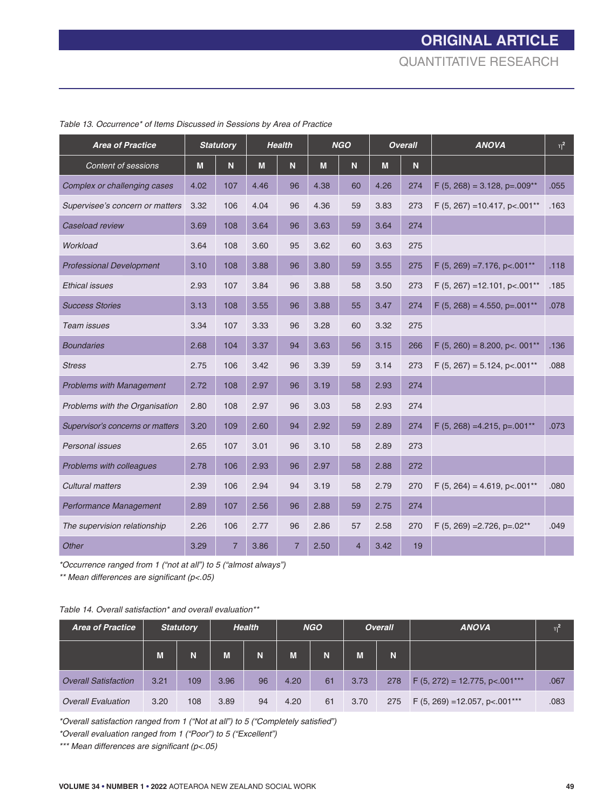| <b>Area of Practice</b>          | <b>Statutory</b> |                | <b>Health</b> |                | <b>NGO</b> |                | <b>Overall</b> |     | <b>ANOVA</b>                                 | $\eta^2$ |
|----------------------------------|------------------|----------------|---------------|----------------|------------|----------------|----------------|-----|----------------------------------------------|----------|
| <b>Content of sessions</b>       | M                | N              | M             | N              | M          | N.             | M              | N   |                                              |          |
| Complex or challenging cases     | 4.02             | 107            | 4.46          | 96             | 4.38       | 60             | 4.26           | 274 | $F(5, 268) = 3.128$ , p=.009 <sup>**</sup>   | .055     |
| Supervisee's concern or matters  | 3.32             | 106            | 4.04          | 96             | 4.36       | 59             | 3.83           | 273 | $F$ (5, 267) = 10.417, p < 001 <sup>**</sup> | .163     |
| Caseload review                  | 3.69             | 108            | 3.64          | 96             | 3.63       | 59             | 3.64           | 274 |                                              |          |
| Workload                         | 3.64             | 108            | 3.60          | 95             | 3.62       | 60             | 3.63           | 275 |                                              |          |
| <b>Professional Development</b>  | 3.10             | 108            | 3.88          | 96             | 3.80       | 59             | 3.55           | 275 | $F$ (5, 269) = 7.176, p <. 001**             | .118     |
| <b>Ethical issues</b>            | 2.93             | 107            | 3.84          | 96             | 3.88       | 58             | 3.50           | 273 | $F(5, 267) = 12.101$ , p<.001**              | .185     |
| <b>Success Stories</b>           | 3.13             | 108            | 3.55          | 96             | 3.88       | 55             | 3.47           | 274 | $F(5, 268) = 4.550$ , p=.001**               | .078     |
| Team issues                      | 3.34             | 107            | 3.33          | 96             | 3.28       | 60             | 3.32           | 275 |                                              |          |
| <b>Boundaries</b>                | 2.68             | 104            | 3.37          | 94             | 3.63       | 56             | 3.15           | 266 | $F(5, 260) = 8.200, p<.001**$                | .136     |
| <b>Stress</b>                    | 2.75             | 106            | 3.42          | 96             | 3.39       | 59             | 3.14           | 273 | $F(5, 267) = 5.124$ , p<.001**               | .088     |
| <b>Problems with Management</b>  | 2.72             | 108            | 2.97          | 96             | 3.19       | 58             | 2.93           | 274 |                                              |          |
| Problems with the Organisation   | 2.80             | 108            | 2.97          | 96             | 3.03       | 58             | 2.93           | 274 |                                              |          |
| Supervisor's concerns or matters | 3.20             | 109            | 2.60          | 94             | 2.92       | 59             | 2.89           | 274 | $F$ (5, 268) = 4.215, p=.001**               | .073     |
| Personal issues                  | 2.65             | 107            | 3.01          | 96             | 3.10       | 58             | 2.89           | 273 |                                              |          |
| Problems with colleagues         | 2.78             | 106            | 2.93          | 96             | 2.97       | 58             | 2.88           | 272 |                                              |          |
| <b>Cultural matters</b>          | 2.39             | 106            | 2.94          | 94             | 3.19       | 58             | 2.79           | 270 | $F$ (5, 264) = 4.619, p < 001**              | .080     |
| Performance Management           | 2.89             | 107            | 2.56          | 96             | 2.88       | 59             | 2.75           | 274 |                                              |          |
| The supervision relationship     | 2.26             | 106            | 2.77          | 96             | 2.86       | 57             | 2.58           | 270 | $F$ (5, 269) = 2.726, p= $.02**$             | .049     |
| Other                            | 3.29             | $\overline{7}$ | 3.86          | $\overline{7}$ | 2.50       | $\overline{4}$ | 3.42           | 19  |                                              |          |

*Table 13. Occurrence\* of Items Discussed in Sessions by Area of Practice*

*\*Occurrence ranged from 1 ("not at all") to 5 ("almost always")*

*\*\* Mean differences are significant (p<.05)* 

#### *Table 14. Overall satisfaction\* and overall evaluation\*\**

| <b>Area of Practice</b>     | <b>Statutory</b> |     | <b>Health</b> |    | <b>NGO</b> |    | <b>Overall</b> |     | <b>ANOVA</b>                     | $n^2$ |
|-----------------------------|------------------|-----|---------------|----|------------|----|----------------|-----|----------------------------------|-------|
|                             | M                | N   | M             | Ñ  | M          | N  | M              | N   |                                  |       |
| <b>Overall Satisfaction</b> | 3.21             | 109 | 3.96          | 96 | 4.20       | 61 | 3.73           | 278 | $F(5, 272) = 12.775$ , p<.001*** | .067  |
| <b>Overall Evaluation</b>   | 3.20             | 108 | 3.89          | 94 | 4.20       | 61 | 3.70           | 275 | $F(5, 269) = 12.057$ , p<.001*** | .083  |

*\*Overall satisfaction ranged from 1 ("Not at all") to 5 ("Completely satisfied")*

*\*Overall evaluation ranged from 1 ("Poor") to 5 ("Excellent")*

*\*\*\* Mean differences are significant (p<.05)*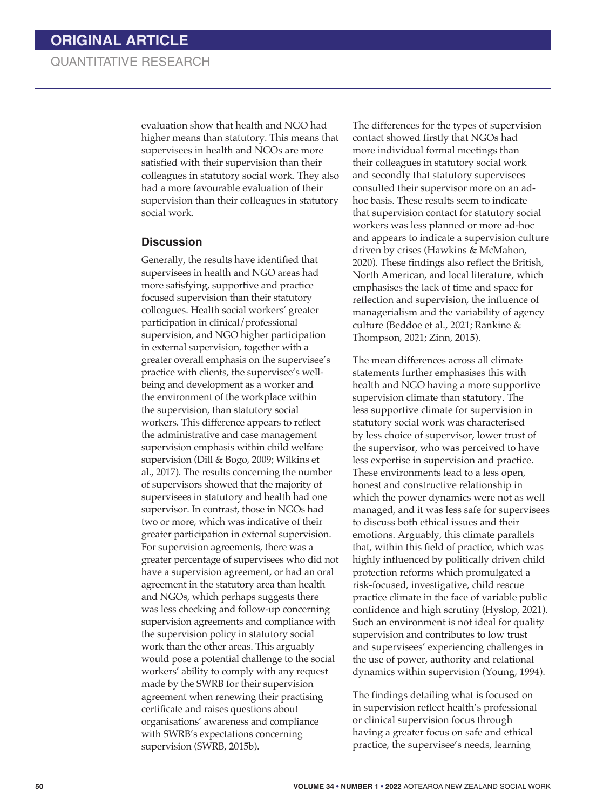evaluation show that health and NGO had higher means than statutory. This means that supervisees in health and NGOs are more satisfied with their supervision than their colleagues in statutory social work. They also had a more favourable evaluation of their supervision than their colleagues in statutory social work.

#### **Discussion**

Generally, the results have identified that supervisees in health and NGO areas had more satisfying, supportive and practice focused supervision than their statutory colleagues. Health social workers' greater participation in clinical/professional supervision, and NGO higher participation in external supervision, together with a greater overall emphasis on the supervisee's practice with clients, the supervisee's wellbeing and development as a worker and the environment of the workplace within the supervision, than statutory social workers. This difference appears to reflect the administrative and case management supervision emphasis within child welfare supervision (Dill & Bogo, 2009; Wilkins et al., 2017). The results concerning the number of supervisors showed that the majority of supervisees in statutory and health had one supervisor. In contrast, those in NGOs had two or more, which was indicative of their greater participation in external supervision. For supervision agreements, there was a greater percentage of supervisees who did not have a supervision agreement, or had an oral agreement in the statutory area than health and NGOs, which perhaps suggests there was less checking and follow-up concerning supervision agreements and compliance with the supervision policy in statutory social work than the other areas. This arguably would pose a potential challenge to the social workers' ability to comply with any request made by the SWRB for their supervision agreement when renewing their practising certificate and raises questions about organisations' awareness and compliance with SWRB's expectations concerning supervision (SWRB, 2015b).

The differences for the types of supervision contact showed firstly that NGOs had more individual formal meetings than their colleagues in statutory social work and secondly that statutory supervisees consulted their supervisor more on an adhoc basis. These results seem to indicate that supervision contact for statutory social workers was less planned or more ad-hoc and appears to indicate a supervision culture driven by crises (Hawkins & McMahon, 2020). These findings also reflect the British, North American, and local literature, which emphasises the lack of time and space for reflection and supervision, the influence of managerialism and the variability of agency culture (Beddoe et al., 2021; Rankine & Thompson, 2021; Zinn, 2015).

The mean differences across all climate statements further emphasises this with health and NGO having a more supportive supervision climate than statutory. The less supportive climate for supervision in statutory social work was characterised by less choice of supervisor, lower trust of the supervisor, who was perceived to have less expertise in supervision and practice. These environments lead to a less open, honest and constructive relationship in which the power dynamics were not as well managed, and it was less safe for supervisees to discuss both ethical issues and their emotions. Arguably, this climate parallels that, within this field of practice, which was highly influenced by politically driven child protection reforms which promulgated a risk-focused, investigative, child rescue practice climate in the face of variable public confidence and high scrutiny (Hyslop, 2021). Such an environment is not ideal for quality supervision and contributes to low trust and supervisees' experiencing challenges in the use of power, authority and relational dynamics within supervision (Young, 1994).

The findings detailing what is focused on in supervision reflect health's professional or clinical supervision focus through having a greater focus on safe and ethical practice, the supervisee's needs, learning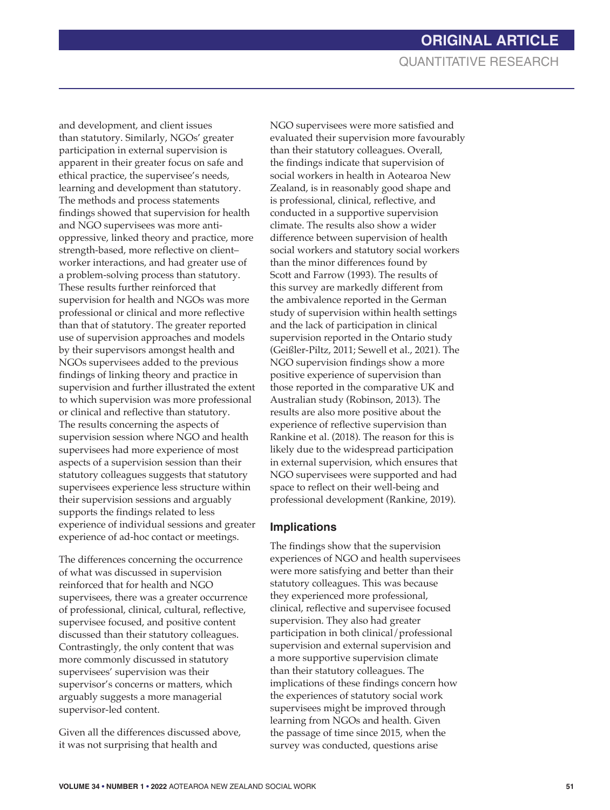and development, and client issues than statutory. Similarly, NGOs' greater participation in external supervision is apparent in their greater focus on safe and ethical practice, the supervisee's needs, learning and development than statutory. The methods and process statements findings showed that supervision for health and NGO supervisees was more antioppressive, linked theory and practice, more strength-based, more reflective on client– worker interactions, and had greater use of a problem-solving process than statutory. These results further reinforced that supervision for health and NGOs was more professional or clinical and more reflective than that of statutory. The greater reported use of supervision approaches and models by their supervisors amongst health and NGOs supervisees added to the previous findings of linking theory and practice in supervision and further illustrated the extent to which supervision was more professional or clinical and reflective than statutory. The results concerning the aspects of supervision session where NGO and health supervisees had more experience of most aspects of a supervision session than their statutory colleagues suggests that statutory supervisees experience less structure within their supervision sessions and arguably supports the findings related to less experience of individual sessions and greater experience of ad-hoc contact or meetings.

The differences concerning the occurrence of what was discussed in supervision reinforced that for health and NGO supervisees, there was a greater occurrence of professional, clinical, cultural, reflective, supervisee focused, and positive content discussed than their statutory colleagues. Contrastingly, the only content that was more commonly discussed in statutory supervisees' supervision was their supervisor's concerns or matters, which arguably suggests a more managerial supervisor-led content.

Given all the differences discussed above, it was not surprising that health and

NGO supervisees were more satisfied and evaluated their supervision more favourably than their statutory colleagues. Overall, the findings indicate that supervision of social workers in health in Aotearoa New Zealand, is in reasonably good shape and is professional, clinical, reflective, and conducted in a supportive supervision climate. The results also show a wider difference between supervision of health social workers and statutory social workers than the minor differences found by Scott and Farrow (1993). The results of this survey are markedly different from the ambivalence reported in the German study of supervision within health settings and the lack of participation in clinical supervision reported in the Ontario study (Geißler-Piltz, 2011; Sewell et al., 2021). The NGO supervision findings show a more positive experience of supervision than those reported in the comparative UK and Australian study (Robinson, 2013). The results are also more positive about the experience of reflective supervision than Rankine et al. (2018). The reason for this is likely due to the widespread participation in external supervision, which ensures that NGO supervisees were supported and had space to reflect on their well-being and professional development (Rankine, 2019).

#### **Implications**

The findings show that the supervision experiences of NGO and health supervisees were more satisfying and better than their statutory colleagues. This was because they experienced more professional, clinical, reflective and supervisee focused supervision. They also had greater participation in both clinical/professional supervision and external supervision and a more supportive supervision climate than their statutory colleagues. The implications of these findings concern how the experiences of statutory social work supervisees might be improved through learning from NGOs and health. Given the passage of time since 2015, when the survey was conducted, questions arise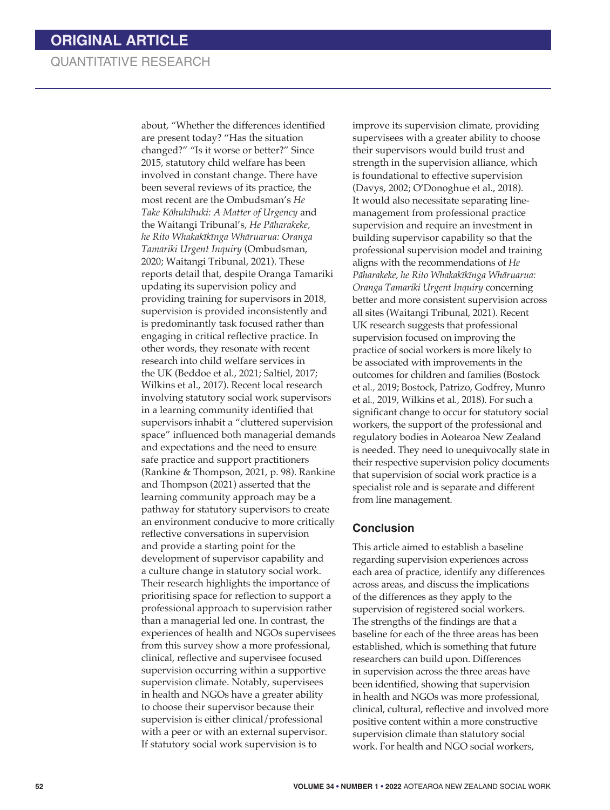about, "Whether the differences identified are present today? "Has the situation changed?" "Is it worse or better?" Since 2015, statutory child welfare has been involved in constant change. There have been several reviews of its practice, the most recent are the Ombudsman's *He Take Kōhukihuki: A Matter of Urgency* and the Waitangi Tribunal's, *He Pāharakeke, he Rito Whakakīkīnga Whāruarua: Oranga Tamariki Urgent Inquiry* (Ombudsman, 2020; Waitangi Tribunal, 2021). These reports detail that, despite Oranga Tamariki updating its supervision policy and providing training for supervisors in 2018, supervision is provided inconsistently and is predominantly task focused rather than engaging in critical reflective practice. In other words, they resonate with recent research into child welfare services in the UK (Beddoe et al., 2021; Saltiel, 2017; Wilkins et al., 2017). Recent local research involving statutory social work supervisors in a learning community identified that supervisors inhabit a "cluttered supervision space" influenced both managerial demands and expectations and the need to ensure safe practice and support practitioners (Rankine & Thompson, 2021, p. 98). Rankine and Thompson (2021) asserted that the learning community approach may be a pathway for statutory supervisors to create an environment conducive to more critically reflective conversations in supervision and provide a starting point for the development of supervisor capability and a culture change in statutory social work. Their research highlights the importance of prioritising space for reflection to support a professional approach to supervision rather than a managerial led one. In contrast, the experiences of health and NGOs supervisees from this survey show a more professional, clinical, reflective and supervisee focused supervision occurring within a supportive supervision climate. Notably, supervisees in health and NGOs have a greater ability to choose their supervisor because their supervision is either clinical/professional with a peer or with an external supervisor. If statutory social work supervision is to

improve its supervision climate, providing supervisees with a greater ability to choose their supervisors would build trust and strength in the supervision alliance, which is foundational to effective supervision (Davys, 2002; O'Donoghue et al., 2018). It would also necessitate separating linemanagement from professional practice supervision and require an investment in building supervisor capability so that the professional supervision model and training aligns with the recommendations of *He Pāharakeke, he Rito Whakakīkīnga Whāruarua: Oranga Tamariki Urgent Inquiry* concerning better and more consistent supervision across all sites (Waitangi Tribunal, 2021). Recent UK research suggests that professional supervision focused on improving the practice of social workers is more likely to be associated with improvements in the outcomes for children and families (Bostock et al*.,* 2019; Bostock, Patrizo, Godfrey, Munro et al*.,* 2019, Wilkins et al*.,* 2018). For such a significant change to occur for statutory social workers, the support of the professional and regulatory bodies in Aotearoa New Zealand is needed. They need to unequivocally state in their respective supervision policy documents that supervision of social work practice is a specialist role and is separate and different from line management.

#### **Conclusion**

This article aimed to establish a baseline regarding supervision experiences across each area of practice, identify any differences across areas, and discuss the implications of the differences as they apply to the supervision of registered social workers. The strengths of the findings are that a baseline for each of the three areas has been established, which is something that future researchers can build upon. Differences in supervision across the three areas have been identified, showing that supervision in health and NGOs was more professional, clinical, cultural, reflective and involved more positive content within a more constructive supervision climate than statutory social work. For health and NGO social workers,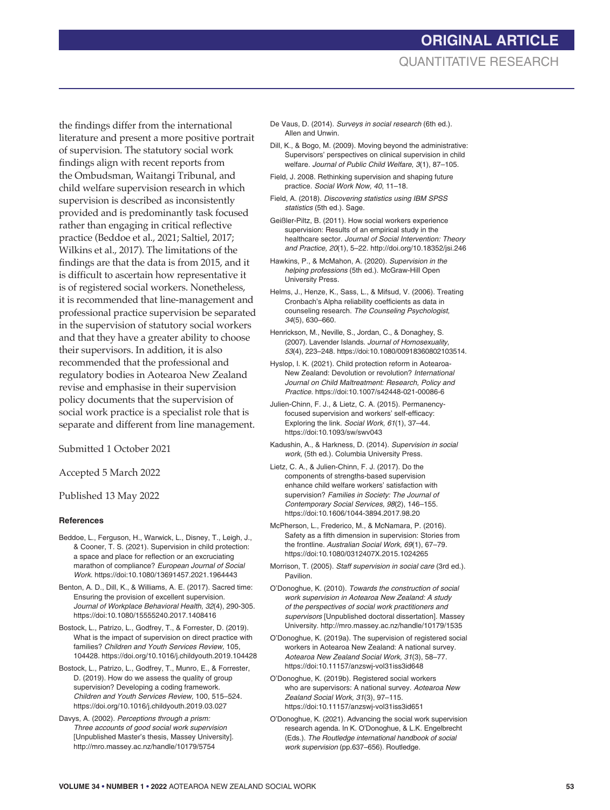#### the findings differ from the international literature and present a more positive portrait of supervision. The statutory social work findings align with recent reports from the Ombudsman, Waitangi Tribunal, and child welfare supervision research in which supervision is described as inconsistently provided and is predominantly task focused rather than engaging in critical reflective practice (Beddoe et al., 2021; Saltiel, 2017; Wilkins et al., 2017). The limitations of the findings are that the data is from 2015, and it is difficult to ascertain how representative it is of registered social workers. Nonetheless, it is recommended that line-management and professional practice supervision be separated in the supervision of statutory social workers and that they have a greater ability to choose their supervisors. In addition, it is also recommended that the professional and regulatory bodies in Aotearoa New Zealand revise and emphasise in their supervision policy documents that the supervision of social work practice is a specialist role that is separate and different from line management.

Submitted 1 October 2021

Accepted 5 March 2022

Published 13 May 2022

#### **References**

Beddoe, L., Ferguson, H., Warwick, L., Disney, T., Leigh, J., & Cooner, T. S. (2021). Supervision in child protection: a space and place for reflection or an excruciating marathon of compliance? *European Journal of Social Work*. https://doi:10.1080/13691457.2021.1964443

Benton, A. D., Dill, K., & Williams, A. E. (2017). Sacred time: Ensuring the provision of excellent supervision. *Journal of Workplace Behavioral Health, 32*(4), 290-305. https://doi:10.1080/15555240.2017.1408416

Bostock, L., Patrizo, L., Godfrey, T., & Forrester, D. (2019). What is the impact of supervision on direct practice with families? *Children and Youth Services Review,* 105, 104428. https://doi.org/10.1016/j.childyouth.2019.104428

Bostock, L., Patrizo, L., Godfrey, T., Munro, E., & Forrester, D. (2019). How do we assess the quality of group supervision? Developing a coding framework. *Children and Youth Services Review,* 100, 515–524. https://doi.org/10.1016/j.childyouth.2019.03.027

Davys, A. (2002). *Perceptions through a prism: Three accounts of good social work supervision*  [Unpublished Master's thesis, Massey University]. http://mro.massey.ac.nz/handle/10179/5754

- De Vaus, D. (2014). *Surveys in social research* (6th ed.). Allen and Unwin.
- Dill, K., & Bogo, M. (2009). Moving beyond the administrative: Supervisors' perspectives on clinical supervision in child welfare. *Journal of Public Child Welfare*, *3*(1), 87–105.
- Field, J. 2008. Rethinking supervision and shaping future practice. *Social Work Now, 40*, 11–18.
- Field, A. (2018). *Discovering statistics using IBM SPSS statistics* (5th ed.). Sage.
- Geißler-Piltz, B. (2011). How social workers experience supervision: Results of an empirical study in the healthcare sector. *Journal of Social Intervention: Theory and Practice, 20*(1), 5–22. http://doi.org/10.18352/jsi.246
- Hawkins, P., & McMahon, A. (2020). *Supervision in the helping professions* (5th ed.). McGraw-Hill Open University Press.
- Helms, J., Henze, K., Sass, L., & Mifsud, V. (2006). Treating Cronbach's Alpha reliability coefficients as data in counseling research. *The Counseling Psychologist, 34*(5), 630–660.
- Henrickson, M., Neville, S., Jordan, C., & Donaghey, S. (2007). Lavender Islands. *Journal of Homosexuality, 53*(4), 223–248. https://doi:10.1080/00918360802103514.
- Hyslop, I. K. (2021). Child protection reform in Aotearoa-New Zealand: Devolution or revolution? *International Journal on Child Maltreatment: Research, Policy and Practice.* https://doi:10.1007/s42448-021-00086-6
- Julien-Chinn, F. J., & Lietz, C. A. (2015). Permanencyfocused supervision and workers' self-efficacy: Exploring the link. *Social Work, 61*(1), 37–44. https://doi:10.1093/sw/swv043
- Kadushin, A., & Harkness, D. (2014). *Supervision in social work*, (5th ed.). Columbia University Press.
- Lietz, C. A., & Julien-Chinn, F. J. (2017). Do the components of strengths-based supervision enhance child welfare workers' satisfaction with supervision? *Families in Society: The Journal of Contemporary Social Services, 98*(2), 146–155. https://doi:10.1606/1044-3894.2017.98.20
- McPherson, L., Frederico, M., & McNamara, P. (2016). Safety as a fifth dimension in supervision: Stories from the frontline. *Australian Social Work, 69*(1), 67–79. https://doi:10.1080/0312407X.2015.1024265
- Morrison, T. (2005). *Staff supervision in social care* (3rd ed.). Pavilion.
- O'Donoghue, K. (2010). *Towards the construction of social work supervision in Aotearoa New Zealand: A study of the perspectives of social work practitioners and supervisors* [Unpublished doctoral dissertation]. Massey University. http://mro.massey.ac.nz/handle/10179/1535
- O'Donoghue, K. (2019a). The supervision of registered social workers in Aotearoa New Zealand: A national survey. *Aotearoa New Zealand Social Work, 31*(3), 58–77. https://doi:10.11157/anzswj-vol31iss3id648
- O'Donoghue, K. (2019b). Registered social workers who are supervisors: A national survey. *Aotearoa New Zealand Social Work, 31*(3), 97–115. https://doi:10.11157/anzswj-vol31iss3id651
- O'Donoghue, K. (2021). Advancing the social work supervision research agenda. In K. O'Donoghue, & L.K. Engelbrecht (Eds.). *The Routledge international handbook of social work supervision* (pp.637–656). Routledge.

# **ORIGINAL ARTICLE** QUANTITATIVE RESEARCH